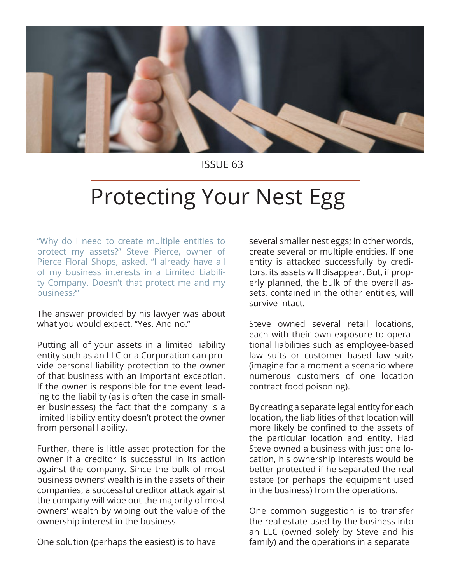

ISSUE 63

## Protecting Your Nest Egg

"Why do I need to create multiple entities to protect my assets?" Steve Pierce, owner of Pierce Floral Shops, asked. "I already have all of my business interests in a Limited Liability Company. Doesn't that protect me and my business?"

The answer provided by his lawyer was about what you would expect. "Yes. And no."

Putting all of your assets in a limited liability entity such as an LLC or a Corporation can provide personal liability protection to the owner of that business with an important exception. If the owner is responsible for the event leading to the liability (as is often the case in smaller businesses) the fact that the company is a limited liability entity doesn't protect the owner from personal liability.

Further, there is little asset protection for the owner if a creditor is successful in its action against the company. Since the bulk of most business owners' wealth is in the assets of their companies, a successful creditor attack against the company will wipe out the majority of most owners' wealth by wiping out the value of the ownership interest in the business.

One solution (perhaps the easiest) is to have

several smaller nest eggs; in other words, create several or multiple entities. If one entity is attacked successfully by creditors, its assets will disappear. But, if properly planned, the bulk of the overall assets, contained in the other entities, will survive intact.

Steve owned several retail locations, each with their own exposure to operational liabilities such as employee-based law suits or customer based law suits (imagine for a moment a scenario where numerous customers of one location contract food poisoning).

By creating a separate legal entity for each location, the liabilities of that location will more likely be confined to the assets of the particular location and entity. Had Steve owned a business with just one location, his ownership interests would be better protected if he separated the real estate (or perhaps the equipment used in the business) from the operations.

One common suggestion is to transfer the real estate used by the business into an LLC (owned solely by Steve and his family) and the operations in a separate